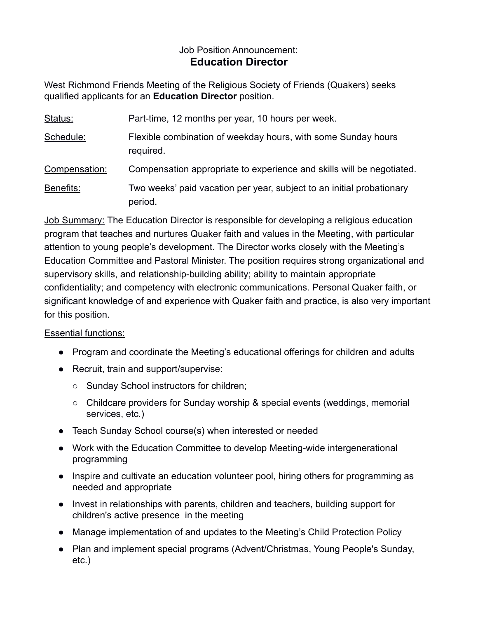## Job Position Announcement: **Education Director**

West Richmond Friends Meeting of the Religious Society of Friends (Quakers) seeks qualified applicants for an **Education Director** position.

| Status:       | Part-time, 12 months per year, 10 hours per week.                                |
|---------------|----------------------------------------------------------------------------------|
| Schedule:     | Flexible combination of weekday hours, with some Sunday hours<br>required.       |
| Compensation: | Compensation appropriate to experience and skills will be negotiated.            |
| Benefits:     | Two weeks' paid vacation per year, subject to an initial probationary<br>period. |

Job Summary: The Education Director is responsible for developing a religious education program that teaches and nurtures Quaker faith and values in the Meeting, with particular attention to young people's development. The Director works closely with the Meeting's Education Committee and Pastoral Minister. The position requires strong organizational and supervisory skills, and relationship-building ability; ability to maintain appropriate confidentiality; and competency with electronic communications. Personal Quaker faith, or significant knowledge of and experience with Quaker faith and practice, is also very important for this position.

## Essential functions:

- Program and coordinate the Meeting's educational offerings for children and adults
- Recruit, train and support/supervise:
	- Sunday School instructors for children;
	- Childcare providers for Sunday worship & special events (weddings, memorial services, etc.)
- Teach Sunday School course(s) when interested or needed
- Work with the Education Committee to develop Meeting-wide intergenerational programming
- Inspire and cultivate an education volunteer pool, hiring others for programming as needed and appropriate
- Invest in relationships with parents, children and teachers, building support for children's active presence in the meeting
- Manage implementation of and updates to the Meeting's Child Protection Policy
- Plan and implement special programs (Advent/Christmas, Young People's Sunday, etc.)